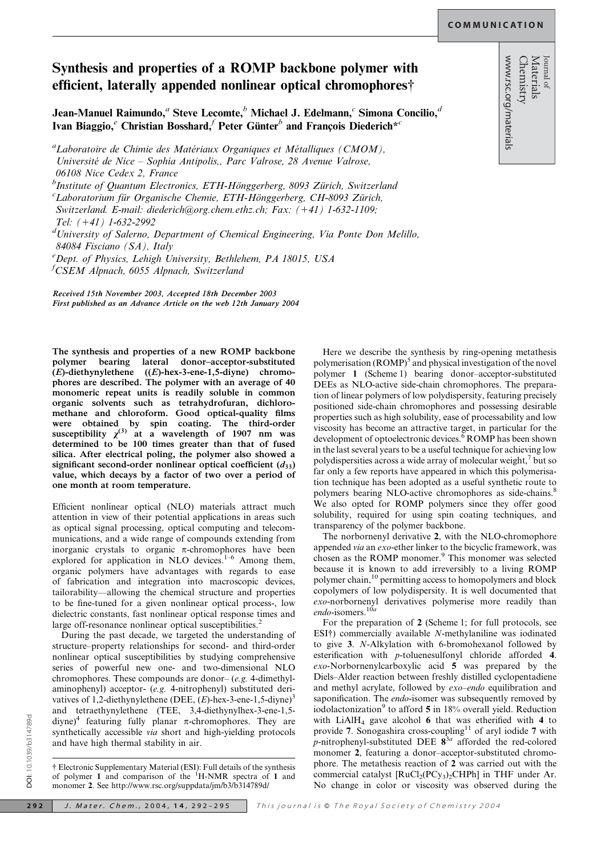<sup>Journal of</sup><br>Materials<br>Chemistry<br>www.rsc.org/materials

## Synthesis and properties of a ROMP backbone polymer with efficient, laterally appended nonlinear optical chromophores<sup>†</sup>

Jean-Manuel Raimundo,<sup>*a*</sup> Steve Lecomte,<sup>*b*</sup> Michael J. Edelmann,<sup>*c*</sup> Simona Concilio,<sup>*d*</sup> Ivan Biaggio,<sup>e</sup> Christian Bosshard,<sup>f</sup> Peter Günter<sup>b</sup> and Francois Diederich<sup>\*c</sup>

"Laboratoire de Chimie des Matériaux Organiques et Métalliques (CMOM), Université de Nice – Sophia Antipolis,, Parc Valrose, 28 Avenue Valrose,

06108 Nice Cedex 2, France

<sup>b</sup>Institute of Quantum Electronics, ETH-Hönggerberg, 8093 Zürich, Switzerland<br><sup>c</sup>I aboratorium für Organische Chamie, ETH Hönggerberg, CH 8003 Zürich

 ${}^{c}$ Laboratorium für Organische Chemie, ETH-Hönggerberg, CH-8093 Zürich,

Switzerland. E-mail: diederich@org.chem.ethz.ch; Fax:  $(+41)$  1-632-1109;

Tel:  $(+41)$  1-632-2992

<sup>d</sup>University of Salerno, Department of Chemical Engineering, Via Ponte Don Melillo, 84084 Fisciano (SA), Italy

e Dept. of Physics, Lehigh University, Bethlehem, PA 18015, USA f CSEM Alpnach, 6055 Alpnach, Switzerland

Received 15th November 2003, Accepted 18th December 2003 First published as an Advance Article on the web 12th January 2004

The synthesis and properties of a new ROMP backbone polymer bearing lateral donor–acceptor-substituted (E)-diethynylethene ((E)-hex-3-ene-1,5-diyne) chromophores are described. The polymer with an average of 40 monomeric repeat units is readily soluble in common organic solvents such as tetrahydrofuran, dichloromethane and chloroform. Good optical-quality films were obtained by spin coating. The third-order<br>susceptibility  $\chi^{(3)}$  at a wavelength of 1907 nm was determined to be 100 times greater than that of fused silica. After electrical poling, the polymer also showed a significant second-order nonlinear optical coefficient  $(d_{33})$ value, which decays by a factor of two over a period of one month at room temperature.

Efficient nonlinear optical (NLO) materials attract much attention in view of their potential applications in areas such as optical signal processing, optical computing and telecommunications, and a wide range of compounds extending from inorganic crystals to organic  $\pi$ -chromophores have been explored for application in NLO devices.<sup>1-6</sup> Among them, organic polymers have advantages with regards to ease of fabrication and integration into macroscopic devices, tailorability—allowing the chemical structure and properties to be fine-tuned for a given nonlinear optical process-, low dielectric constants, fast nonlinear optical response times and large off-resonance nonlinear optical susceptibilities.<sup>2</sup>

During the past decade, we targeted the understanding of structure–property relationships for second- and third-order nonlinear optical susceptibilities by studying comprehensive series of powerful new one- and two-dimensional NLO chromophores. These compounds are donor– (e.g. 4-dimethylaminophenyl) acceptor- (e.g. 4-nitrophenyl) substituted derivatives of 1,2-diethynylethene (DEE,  $(E)$ -hex-3-ene-1,5-diyne)<sup>3</sup> and tetraethynylethene (TEE, 3,4-diethynylhex-3-ene-1,5 diyne)<sup>4</sup> featuring fully planar  $\pi$ -chromophores. They are synthetically accessible *via* short and high-yielding protocols and have high thermal stability in air.

{ Electronic Supplementary Material (ESI): Full details of the synthesis of polymer 1 and comparison of the  ${}^{1}$ H-NMR spectra of 1 and monomer 2. See http://www.rsc.org/suppdata/jm/b3/b314789d/

Here we describe the synthesis by ring-opening metathesis polymerisation  $(ROMP)^5$  and physical investigation of the novel polymer 1 (Scheme 1) bearing donor–acceptor-substituted DEEs as NLO-active side-chain chromophores. The preparation of linear polymers of low polydispersity, featuring precisely positioned side-chain chromophores and possessing desirable properties such as high solubility, ease of processability and low viscosity has become an attractive target, in particular for the development of optoelectronic devices.<sup> $\frac{6}{6}$ </sup> ROMP has been shown in the last several years to be a useful technique for achieving low polydispersities across a wide array of molecular weight, $\frac{7}{1}$  but so far only a few reports have appeared in which this polymerisation technique has been adopted as a useful synthetic route to polymers bearing NLO-active chromophores as side-chains.<sup>8</sup> We also opted for ROMP polymers since they offer good solubility, required for using spin coating techniques, and transparency of the polymer backbone.

The norbornenyl derivative 2, with the NLO-chromophore appended via an exo-ether linker to the bicyclic framework, was chosen as the ROMP monomer.<sup>9</sup> This monomer was selected because it is known to add irreversibly to a living ROMP polymer chain,<sup>10</sup> permitting access to homopolymers and block copolymers of low polydispersity. It is well documented that exo-norbornenyl derivatives polymerise more readily than endo-isomers. $10a$ 

For the preparation of 2 (Scheme 1; for full protocols, see ESI $\dagger$ ) commercially available N-methylaniline was iodinated to give 3. N-Alkylation with 6-bromohexanol followed by esterification with p-toluenesulfonyl chloride afforded 4. exo-Norbornenylcarboxylic acid 5 was prepared by the Diels–Alder reaction between freshly distilled cyclopentadiene and methyl acrylate, followed by exo–endo equilibration and saponification. The *endo*-isomer was subsequently removed by iodolactonization<sup>9</sup> to afford  $5$  in 18% overall yield. Reduction with LiAlH4 gave alcohol 6 that was etherified with 4 to provide 7. Sonogashira cross-coupling<sup>11</sup> of aryl iodide 7 with p-nitrophenyl-substituted DEE  $8^{3a}$  afforded the red-colored monomer 2, featuring a donor–acceptor-substituted chromophore. The metathesis reaction of 2 was carried out with the commercial catalyst  $[RuCl_2(PCy_3)_2CHPh]$  in THF under Ar. No change in color or viscosity was observed during the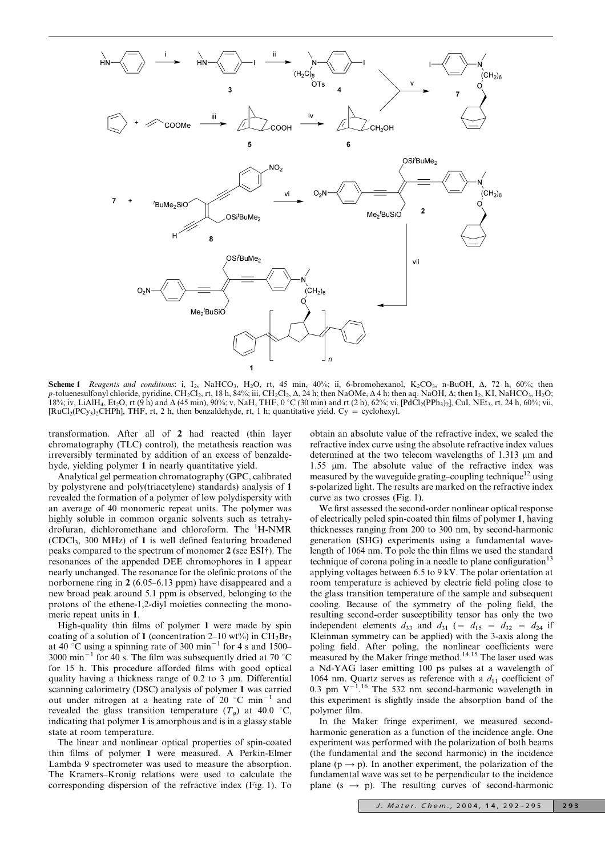

Scheme 1 Reagents and conditions: i, I<sub>2</sub>, NaHCO<sub>3</sub>, H<sub>2</sub>O, rt, 45 min, 40%; ii, 6-bromohexanol, K<sub>2</sub>CO<sub>3</sub>, n-BuOH,  $\Delta$ , 72 h, 60%; then p-toluenesulfonyl chloride, pyridine, CH<sub>2</sub>Cl<sub>2</sub>, rt, 18 h, 84%; iii, CH<sub>2</sub>Cl<sub>2</sub>,  $\Delta$ , 24 h; then NaOMe,  $\Delta$ 4 h; then aq. NaOH,  $\Delta$ ; then I<sub>2</sub>, KI, NaHCO<sub>3</sub>, H<sub>2</sub>O; 18%; iv, LiAlH<sub>4</sub>, Et<sub>2</sub>O, rt (9 h) and  $\Delta$  (45 min), 90%; v, NaH, THF, 0 °C (30 min) and rt (2 h), 62%; vi, [PdCl<sub>2</sub>(PPh<sub>3</sub>)<sub>2</sub>], CuI, NEt<sub>3</sub>, rt, 24 h, 60%; vii,  $[RuCl<sub>2</sub>(PC<sub>y3</sub>)<sub>2</sub>CHPh]$ , THF, rt, 2 h, then benzaldehyde, rt, 1 h; quantitative yield. Cy = cyclohexyl.

transformation. After all of 2 had reacted (thin layer chromatography (TLC) control), the metathesis reaction was irreversibly terminated by addition of an excess of benzaldehyde, yielding polymer 1 in nearly quantitative yield.

Analytical gel permeation chromatography (GPC, calibrated by polystyrene and poly(triacetylene) standards) analysis of 1 revealed the formation of a polymer of low polydispersity with an average of 40 monomeric repeat units. The polymer was highly soluble in common organic solvents such as tetrahydrofuran, dichloromethane and chloroform. The <sup>1</sup>H-NMR (CDCl3, 300 MHz) of 1 is well defined featuring broadened peaks compared to the spectrum of monomer 2 (see ESI<sup>†</sup>). The resonances of the appended DEE chromophores in 1 appear nearly unchanged. The resonance for the olefinic protons of the norbornene ring in 2 (6.05–6.13 ppm) have disappeared and a new broad peak around 5.1 ppm is observed, belonging to the protons of the ethene-1,2-diyl moieties connecting the monomeric repeat units in 1.

High-quality thin films of polymer 1 were made by spin coating of a solution of 1 (concentration 2–10 wt%) in  $CH_2Br_2$ at 40 °C using a spinning rate of 300 min<sup>-1</sup> for 4 s and  $1500-$ 3000 min<sup>-1</sup> for 40 s. The film was subsequently dried at 70 °C for 15 h. This procedure afforded films with good optical quality having a thickness range of  $0.2$  to  $3 \mu m$ . Differential scanning calorimetry (DSC) analysis of polymer 1 was carried out under nitrogen at a heating rate of 20  $^{\circ}$ C min<sup>-1</sup> and revealed the glass transition temperature  $(T_g)$  at 40.0 °C, indicating that polymer 1 is amorphous and is in a glassy stable state at room temperature.

The linear and nonlinear optical properties of spin-coated thin films of polymer 1 were measured. A Perkin-Elmer Lambda 9 spectrometer was used to measure the absorption. The Kramers–Kronig relations were used to calculate the corresponding dispersion of the refractive index (Fig. 1). To

obtain an absolute value of the refractive index, we scaled the refractive index curve using the absolute refractive index values determined at the two telecom wavelengths of  $1.313 \mu m$  and 1.55 um. The absolute value of the refractive index was measured by the waveguide grating–coupling technique<sup>12</sup> using s-polarized light. The results are marked on the refractive index curve as two crosses (Fig. 1).

We first assessed the second-order nonlinear optical response of electrically poled spin-coated thin films of polymer 1, having thicknesses ranging from 200 to 300 nm, by second-harmonic generation (SHG) experiments using a fundamental wavelength of 1064 nm. To pole the thin films we used the standard technique of corona poling in a needle to plane configuration<sup>13</sup> applying voltages between 6.5 to 9 kV. The polar orientation at room temperature is achieved by electric field poling close to the glass transition temperature of the sample and subsequent cooling. Because of the symmetry of the poling field, the resulting second-order susceptibility tensor has only the two independent elements  $d_{33}$  and  $d_{31}$  (=  $d_{15}$  =  $d_{32}$  =  $d_{24}$  if Kleinman symmetry can be applied) with the 3-axis along the poling field. After poling, the nonlinear coefficients were measured by the Maker fringe method.<sup>14,15</sup> The laser used was a Nd-YAG laser emitting 100 ps pulses at a wavelength of 1064 nm. Quartz serves as reference with a  $d_{11}$  coefficient of 0.3 pm  $V^{-1}$ .<sup>16</sup> The 532 nm second-harmonic wavelength in this experiment is slightly inside the absorption band of the polymer film.

In the Maker fringe experiment, we measured secondharmonic generation as a function of the incidence angle. One experiment was performed with the polarization of both beams (the fundamental and the second harmonic) in the incidence plane ( $p \rightarrow p$ ). In another experiment, the polarization of the fundamental wave was set to be perpendicular to the incidence plane ( $s \rightarrow p$ ). The resulting curves of second-harmonic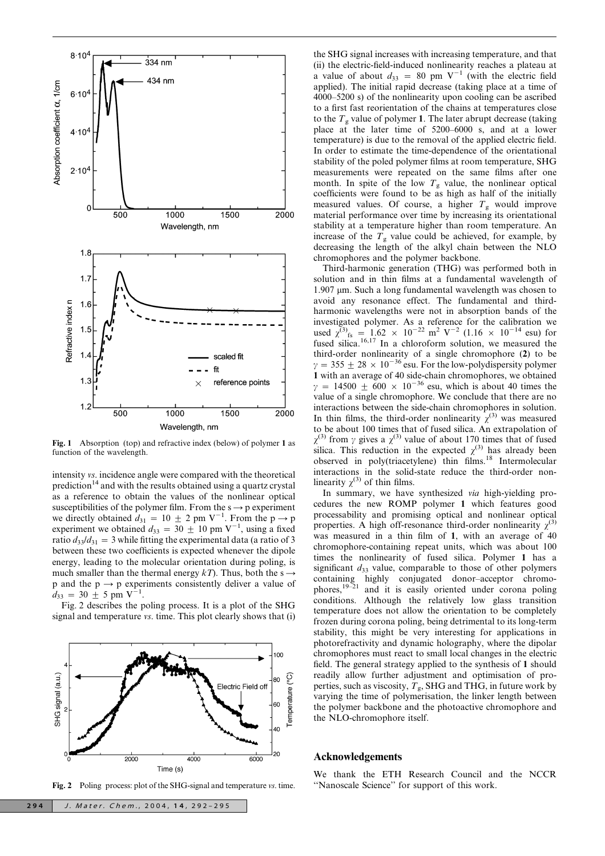

Fig. 1 Absorption (top) and refractive index (below) of polymer 1 as function of the wavelength.

intensity vs. incidence angle were compared with the theoretical prediction<sup>14</sup> and with the results obtained using a quartz crystal as a reference to obtain the values of the nonlinear optical susceptibilities of the polymer film. From the  $s \rightarrow p$  experiment we directly obtained  $d_{31} = 10 \pm 2$  pm V<sup>-1</sup>. From the p  $\rightarrow$  p experiment we obtained  $d_{33} = 30 \pm 10$  pm V<sup>-1</sup>, using a fixed ratio  $d_{33}/d_{31} = 3$  while fitting the experimental data (a ratio of 3 between these two coefficients is expected whenever the dipole energy, leading to the molecular orientation during poling, is much smaller than the thermal energy  $kT$ ). Thus, both the s  $\rightarrow$ p and the  $p \rightarrow p$  experiments consistently deliver a value of  $d_{33} = 30 \pm 5 \text{ pm V}^{-1}$ .

Fig. 2 describes the poling process. It is a plot of the SHG signal and temperature vs. time. This plot clearly shows that (i)



Fig. 2 Poling process: plot of the SHG-signal and temperature vs. time.

the SHG signal increases with increasing temperature, and that (ii) the electric-field-induced nonlinearity reaches a plateau at a value of about  $d_{33} = 80$  pm V<sup>-1</sup> (with the electric field applied). The initial rapid decrease (taking place at a time of 4000–5200 s) of the nonlinearity upon cooling can be ascribed to a first fast reorientation of the chains at temperatures close to the  $T_g$  value of polymer 1. The later abrupt decrease (taking place at the later time of 5200–6000 s, and at a lower temperature) is due to the removal of the applied electric field. In order to estimate the time-dependence of the orientational stability of the poled polymer films at room temperature, SHG measurements were repeated on the same films after one month. In spite of the low  $T<sub>g</sub>$  value, the nonlinear optical coefficients were found to be as high as half of the initially measured values. Of course, a higher  $T<sub>g</sub>$  would improve material performance over time by increasing its orientational stability at a temperature higher than room temperature. An increase of the  $T<sub>g</sub>$  value could be achieved, for example, by decreasing the length of the alkyl chain between the NLO chromophores and the polymer backbone.

Third-harmonic generation (THG) was performed both in solution and in thin films at a fundamental wavelength of  $1.907 \mu m$ . Such a long fundamental wavelength was chosen to avoid any resonance effect. The fundamental and thirdharmonic wavelengths were not in absorption bands of the investigated polymer. As a reference for the calibration we used  $\chi^{(3)}_{fs} = 1.62 \times 10^{-22} \text{ m}^2 \text{ V}^{-2}$  (1.16  $\times 10^{-14} \text{ esu}$ ) for fused silica.<sup>16,17</sup> In a chloroform solution, we measured the third-order nonlinearity of a single chromophore (2) to be  $\gamma = 355 \pm 28 \times 10^{-36}$  esu. For the low-polydispersity polymer 1 with an average of 40 side-chain chromophores, we obtained  $\gamma$  = 14500  $\pm$  600  $\times$  10<sup>-36</sup> esu, which is about 40 times the value of a single chromophore. We conclude that there are no interactions between the side-chain chromophores in solution. In thin films, the third-order nonlinearity  $\chi^{(3)}$  was measured to be about 100 times that of fused silica. An extrapolation of  $\chi^{(3)}$  from  $\gamma$  gives a  $\chi^{(3)}$  value of about 170 times that of fused silica. This reduction in the expected  $\chi^{(3)}$  has already been observed in poly(triacetylene) thin films.<sup>18</sup> Intermolecular interactions in the solid-state reduce the third-order nonlinearity  $\chi^{(3)}$  of thin films.

In summary, we have synthesized via high-yielding procedures the new ROMP polymer 1 which features good processability and promising optical and nonlinear optical properties. A high off-resonance third-order nonlinearity  $\chi^{(3)}$ was measured in a thin film of 1, with an average of 40 chromophore-containing repeat units, which was about 100 times the nonlinearity of fused silica. Polymer 1 has a significant  $d_{33}$  value, comparable to those of other polymers containing highly conjugated donor–acceptor chromophores,<sup>19–21</sup> and it is easily oriented under corona poling conditions. Although the relatively low glass transition temperature does not allow the orientation to be completely frozen during corona poling, being detrimental to its long-term stability, this might be very interesting for applications in photorefractivity and dynamic holography, where the dipolar chromophores must react to small local changes in the electric field. The general strategy applied to the synthesis of 1 should readily allow further adjustment and optimisation of properties, such as viscosity,  $T_{\rm g}$ , SHG and THG, in future work by varying the time of polymerisation, the linker length between the polymer backbone and the photoactive chromophore and the NLO-chromophore itself.

## Acknowledgements

We thank the ETH Research Council and the NCCR ''Nanoscale Science'' for support of this work.